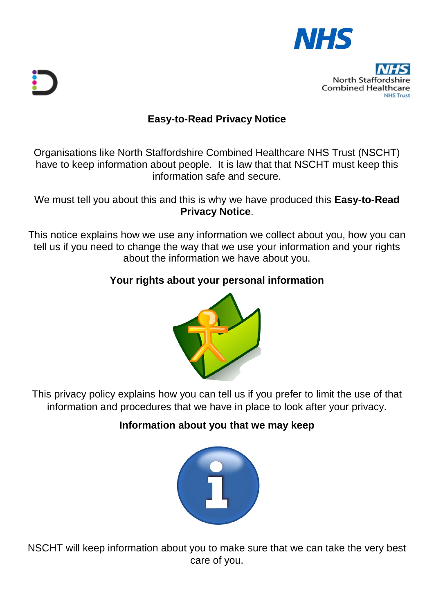

# **North Stafford Combined Healthcare**

# **Easy-to-Read Privacy Notice**

Organisations like North Staffordshire Combined Healthcare NHS Trust (NSCHT) have to keep information about people. It is law that that NSCHT must keep this information safe and secure.

We must tell you about this and this is why we have produced this **Easy-to-Read Privacy Notice**.

This notice explains how we use any information we collect about you, how you can tell us if you need to change the way that we use your information and your rights about the information we have about you.

### **Your rights about your personal information**



This privacy policy explains how you can tell us if you prefer to limit the use of that information and procedures that we have in place to look after your privacy.

# **Information about you that we may keep**



NSCHT will keep information about you to make sure that we can take the very best care of you.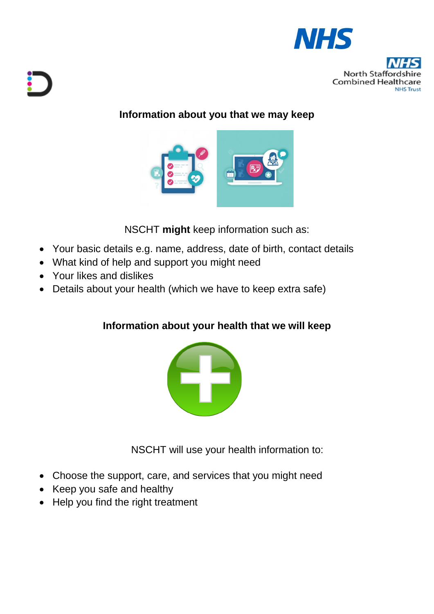

**North Staffo Combined Healthcare NHS Truct** 

# **Information about you that we may keep**



NSCHT **might** keep information such as:

- Your basic details e.g. name, address, date of birth, contact details
- What kind of help and support you might need
- Your likes and dislikes
- Details about your health (which we have to keep extra safe)

# **Information about your health that we will keep**



NSCHT will use your health information to:

- Choose the support, care, and services that you might need
- Keep you safe and healthy
- Help you find the right treatment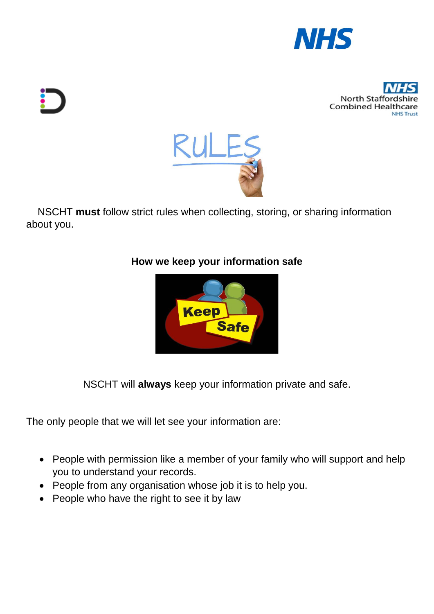





 NSCHT **must** follow strict rules when collecting, storing, or sharing information about you.

### **How we keep your information safe**



NSCHT will **always** keep your information private and safe.

The only people that we will let see your information are:

- People with permission like a member of your family who will support and help you to understand your records.
- People from any organisation whose job it is to help you.
- People who have the right to see it by law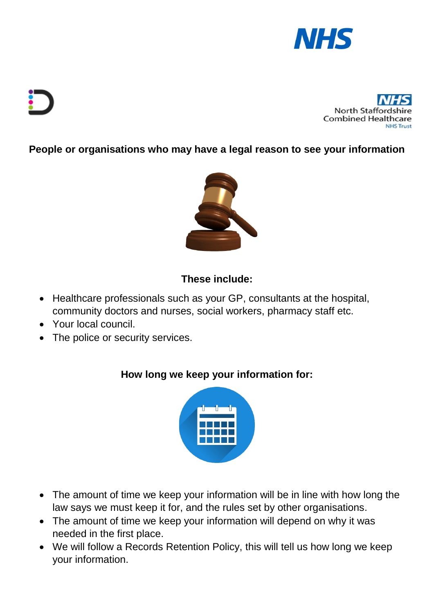



**People or organisations who may have a legal reason to see your information**



### **These include:**

- Healthcare professionals such as your GP, consultants at the hospital, community doctors and nurses, social workers, pharmacy staff etc.
- Your local council.
- The police or security services.

### **How long we keep your information for:**



- The amount of time we keep your information will be in line with how long the law says we must keep it for, and the rules set by other organisations.
- The amount of time we keep your information will depend on why it was needed in the first place.
- We will follow a Records Retention Policy, this will tell us how long we keep your information.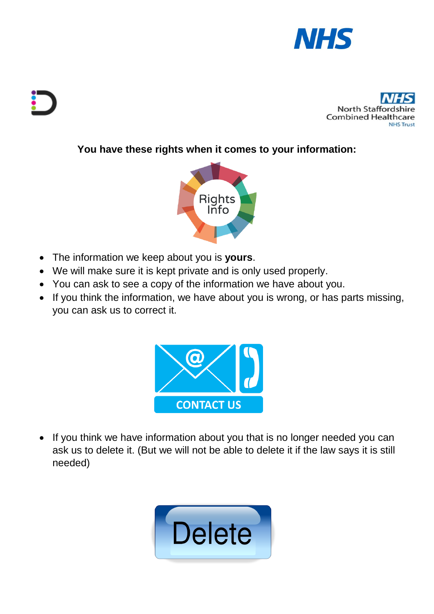



### **You have these rights when it comes to your information:**



- The information we keep about you is **yours**.
- We will make sure it is kept private and is only used properly.
- You can ask to see a copy of the information we have about you.
- If you think the information, we have about you is wrong, or has parts missing, you can ask us to correct it.



• If you think we have information about you that is no longer needed you can ask us to delete it. (But we will not be able to delete it if the law says it is still needed)

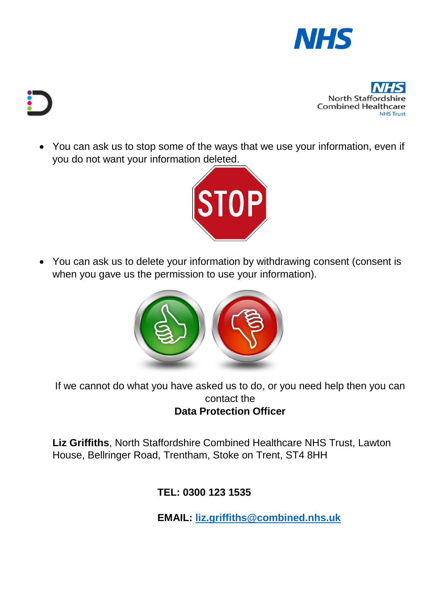



 You can ask us to stop some of the ways that we use your information, even if you do not want your information deleted.



 You can ask us to delete your information by withdrawing consent (consent is when you gave us the permission to use your information).



If we cannot do what you have asked us to do, or you need help then you can contact the **Data Protection Officer** 

**Liz Griffiths**, North Staffordshire Combined Healthcare NHS Trust, Lawton House, Bellringer Road, Trentham, Stoke on Trent, ST4 8HH

**TEL: 0300 123 1535**

**EMAIL: [liz.griffiths@combined.nhs.uk](mailto:liz.griffiths@combined.nhs.uk)**